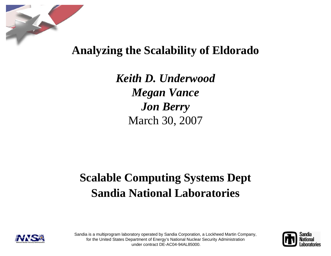

## **Analyzing the Scalability of Eldorado**

*Keith D. UnderwoodMegan Vance Jon Berry* March 30, 2007

# **Scalable Computing Systems Dept Sandia National Laboratories**





Sandia is a multiprogram laboratory operated by Sandia Corporation, a Lockheed Martin Company, for the United States Department of Energy's National Nuclear Security Administration under contract DE-AC04-94AL85000.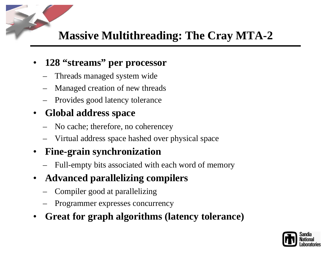# **Massive Multithreading: The Cray MTA-2**

#### •**128 "streams" per processor**

- Threads managed system wide
- Managed creation of new threads
- Provides good latency tolerance

#### $\bullet$ **Global address space**

- No cache; therefore, no coherencey
- Virtual address space hashed over physical space

#### $\bullet$ **Fine-grain synchronization**

- Full-empty bits associated with each word of memory
- $\bullet$  **Advanced parallelizing compilers**
	- Compiler good at parallelizing
	- Programmer expresses concurrency
- •**Great for graph algorithms (latency tolerance)**

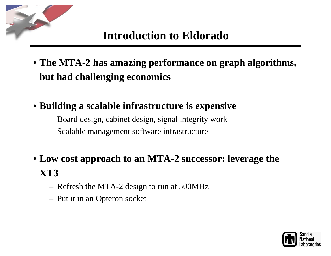## **Introduction to Eldorado**

- **The MTA-2 has amazing performance on graph algorithms, but had challenging economics**
- **Building a scalable infrastructure is expensive**
	- –Board design, cabinet design, signal integrity work
	- –Scalable management software infrastructure
- **Low cost approach to an MTA-2 successor: leverage the XT3**
	- –Refresh the MTA-2 design to run at 500MHz
	- –Put it in an Opteron socket

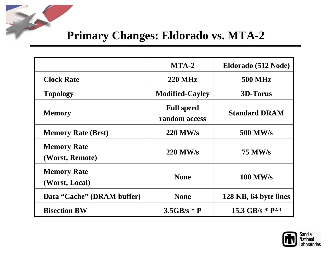## **Primary Changes: Eldorado vs. MTA-2**

|                                       | $MTA-2$                            | Eldorado (512 Node)            |  |  |
|---------------------------------------|------------------------------------|--------------------------------|--|--|
| <b>Clock Rate</b>                     | <b>220 MHz</b>                     | <b>500 MHz</b>                 |  |  |
| <b>Topology</b>                       | <b>Modified-Cayley</b>             | <b>3D-Torus</b>                |  |  |
| <b>Memory</b>                         | <b>Full speed</b><br>random access | <b>Standard DRAM</b>           |  |  |
| <b>Memory Rate (Best)</b>             | <b>220 MW/s</b>                    | <b>500 MW/s</b>                |  |  |
| <b>Memory Rate</b><br>(Worst, Remote) | <b>220 MW/s</b>                    | <b>75 MW/s</b>                 |  |  |
| <b>Memory Rate</b><br>(Worst, Local)  | <b>None</b>                        | <b>100 MW/s</b>                |  |  |
| Data "Cache" (DRAM buffer)            | <b>None</b>                        | 128 KB, 64 byte lines          |  |  |
| <b>Bisection BW</b>                   | $3.5GB/s * P$                      | 15.3 GB/s $*$ P <sup>2/3</sup> |  |  |

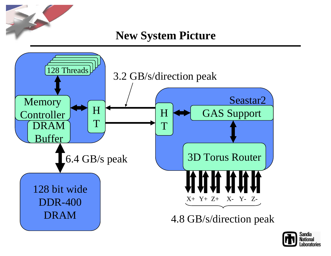**New System Picture**



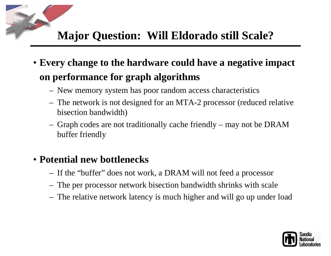## **Major Question: Will Eldorado still Scale?**

- **Every change to the hardware could have a negative impact on performance for graph algorithms**
	- –New memory system has poor random access characteristics
	- – The network is not designed for an MTA-2 processor (reduced relative bisection bandwidth)
	- – Graph codes are not traditionally cache friendly – may not be DRAM buffer friendly

#### • **Potential new bottlenecks**

- –If the "buffer" does not work, a DRAM will not feed a processor
- –The per processor network bisection bandwidth shrinks with scale
- –The relative network latency is much higher and will go up under load

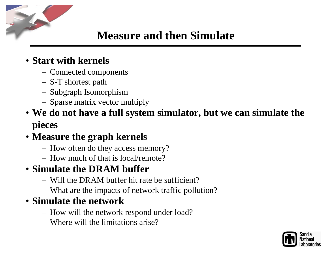## **Measure and then Simulate**

#### • **Start with kernels**

- Connected components
- S-T shortest path
- Subgraph Isomorphism
- Sparse matrix vector multiply
- **We do not have a full system simulator, but we can simulate the pieces**

### • **Measure the graph kernels**

- How often do they access memory?
- How much of that is local/remote?

## • **Simulate the DRAM buffer**

- Will the DRAM buffer hit rate be sufficient?
- What are the impacts of network traffic pollution?

#### • **Simulate the network**

- How will the network respond under load?
- Where will the limitations arise?

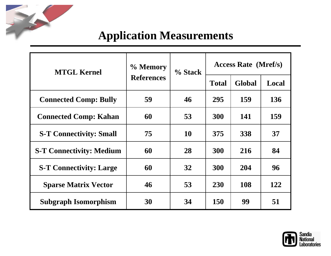

| <b>MTGL Kernel</b>              | % Memory<br><b>References</b> | % Stack | <b>Access Rate</b> (Mref/s) |               |            |
|---------------------------------|-------------------------------|---------|-----------------------------|---------------|------------|
|                                 |                               |         | <b>Total</b>                | <b>Global</b> | Local      |
| <b>Connected Comp: Bully</b>    | 59                            | 46      | 295                         | 159           | 136        |
| <b>Connected Comp: Kahan</b>    | 60                            | 53      | <b>300</b>                  | 141           | <b>159</b> |
| <b>S-T Connectivity: Small</b>  | 75                            | 10      | 375                         | 338           | 37         |
| <b>S-T Connectivity: Medium</b> | 60                            | 28      | <b>300</b>                  | 216           | 84         |
| <b>S-T Connectivity: Large</b>  | 60                            | 32      | <b>300</b>                  | 204           | 96         |
| <b>Sparse Matrix Vector</b>     | 46                            | 53      | <b>230</b>                  | 108           | 122        |
| <b>Subgraph Isomorphism</b>     | 30                            | 34      | <b>150</b>                  | 99            | 51         |

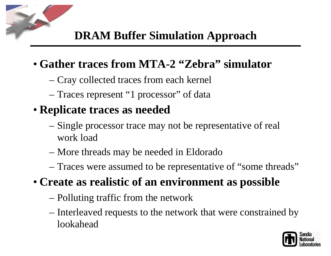# **DRAM Buffer Simulation Approach**

## • **Gather traces from MTA-2 "Zebra" simulator**

- Cray collected traces from each kernel
- Traces represent "1 processor" of data

# • **Replicate traces as needed**

- Single processor trace may not be representative of real work load
- More threads may be needed in Eldorado
- Traces were assumed to be representative of "some threads"
- **Create as realistic of an environment as possible**
	- Polluting traffic from the network
	- Interleaved requests to the network that were constrained by lookahead

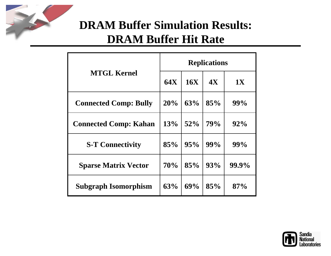

# **DRAM Buffer Simulation Results: DRAM Buffer Hit Rate**

|                              | <b>Replications</b> |            |            |           |
|------------------------------|---------------------|------------|------------|-----------|
| <b>MTGL Kernel</b>           | <b>64X</b>          | <b>16X</b> | <b>4X</b>  | <b>1X</b> |
| <b>Connected Comp: Bully</b> | 20%                 | 63%        | 85%        | 99%       |
| <b>Connected Comp: Kahan</b> | 13%                 | 52%        | <b>79%</b> | 92%       |
| <b>S-T Connectivity</b>      | 85%                 | 95%        | 99%        | 99%       |
| <b>Sparse Matrix Vector</b>  | 70%                 | 85%        | 93%        | 99.9%     |
| <b>Subgraph Isomorphism</b>  | 63%                 | 69%        | 85%        | 87%       |

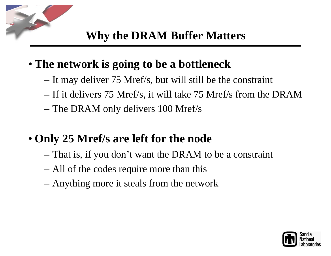## • **The network is going to be a bottleneck**

- It may deliver 75 Mref/s, but will still be the constraint
- If it delivers 75 Mref/s, it will take 75 Mref/s from the DRAM
- The DRAM only delivers 100 Mref/s

# • **Only 25 Mref/s are left for the node**

- That is, if you don't want the DRAM to be a constraint
- All of the codes require more than this
- Anything more it steals from the network

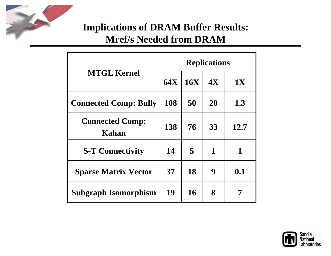

#### **Implications of DRAM Buffer Results: Mref/s Needed from DRAM**

|                                 | <b>Replications</b> |     |    |           |
|---------------------------------|---------------------|-----|----|-----------|
| <b>MTGL Kernel</b>              | <b>64X</b>          | 16X | 4X | <b>1X</b> |
| <b>Connected Comp: Bully</b>    | 108                 | 50  | 20 | 1.3       |
| <b>Connected Comp:</b><br>Kahan | 138                 | 76  | 33 | 12.7      |
| <b>S-T Connectivity</b>         | 14                  | 5   | 1  | 1         |
| <b>Sparse Matrix Vector</b>     | 37                  | 18  | 9  | 0.1       |
| Subgraph Isomorphism            | 19                  | 16  | 8  |           |

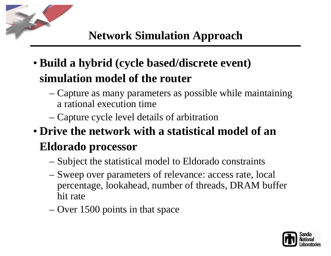# **Network Simulation Approach**

- **Build a hybrid (cycle based/discrete event) simulation model of the router**
	- Capture as many parameters as possible while maintaining a rational execution time
	- Capture cycle level details of arbitration

# • **Drive the network with a statistical model of an Eldorado processor**

- Subject the statistical model to Eldorado constraints
- Sweep over parameters of relevance: access rate, local percentage, lookahead, number of threads, DRAM buffer hit rate
- Over 1500 points in that space

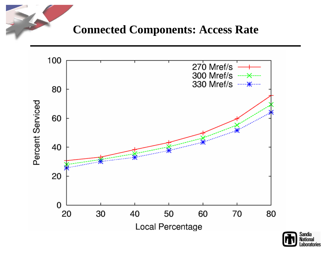#### **Connected Components: Access Rate**



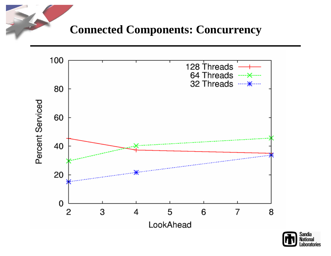**Connected Components: Concurrency**



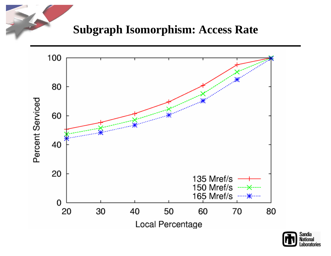### **Subgraph Isomorphism: Access Rate**



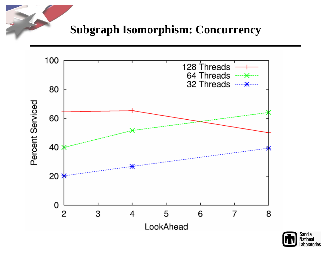### **Subgraph Isomorphism: Concurrency**



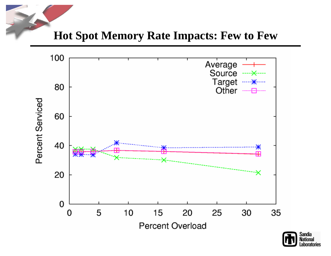**Hot Spot Memory Rate Impacts: Few to Few**



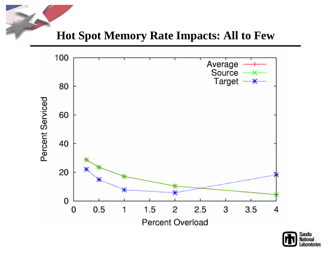**Hot Spot Memory Rate Impacts: All to Few**



![](_page_18_Picture_2.jpeg)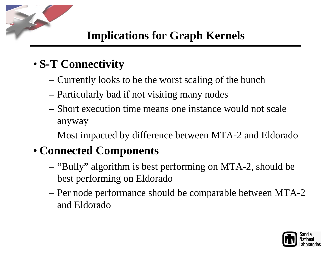# • **S-T Connectivity**

- Currently looks to be the worst scaling of the bunch
- Particularly bad if not visiting many nodes
- Short execution time means one instance would not scale anyway
- Most impacted by difference between MTA-2 and Eldorado

# • **Connected Components**

- "Bully" algorithm is best performing on MTA-2, should be best performing on Eldorado
- Per node performance should be comparable between MTA-2 and Eldorado

![](_page_19_Picture_9.jpeg)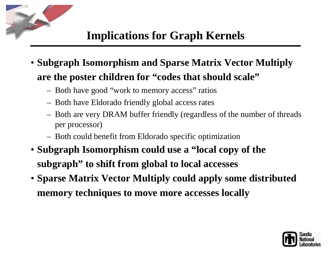## **Implications for Graph Kernels**

- **Subgraph Isomorphism and Sparse Matrix Vector Multiply are the poster children for "codes that should scale"**
	- Both have good "work to memory access" ratios
	- Both have Eldorado friendly global access rates
	- Both are very DRAM buffer friendly (regardless of the number of threads per processor)
	- Both could benefit from Eldorado specific optimization
- **Subgraph Isomorphism could use a "local copy of the subgraph" to shift from global to local accesses**
- **Sparse Matrix Vector Multiply could apply some distributed memory techniques to move more accesses locally**

![](_page_20_Picture_8.jpeg)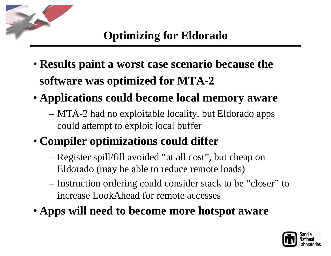# **Optimizing for Eldorado**

- **Results paint a worst case scenario because the software was optimized for MTA-2**
- **Applications could become local memory aware**
	- MTA-2 had no exploitable locality, but Eldorado apps could attempt to exploit local buffer
- **Compiler optimizations could differ**
	- Register spill/fill avoided "at all cost", but cheap on Eldorado (may be able to reduce remote loads)
	- Instruction ordering could consider stack to be "closer" to increase LookAhead for remote accesses
- **Apps will need to become more hotspot aware**

![](_page_21_Picture_8.jpeg)